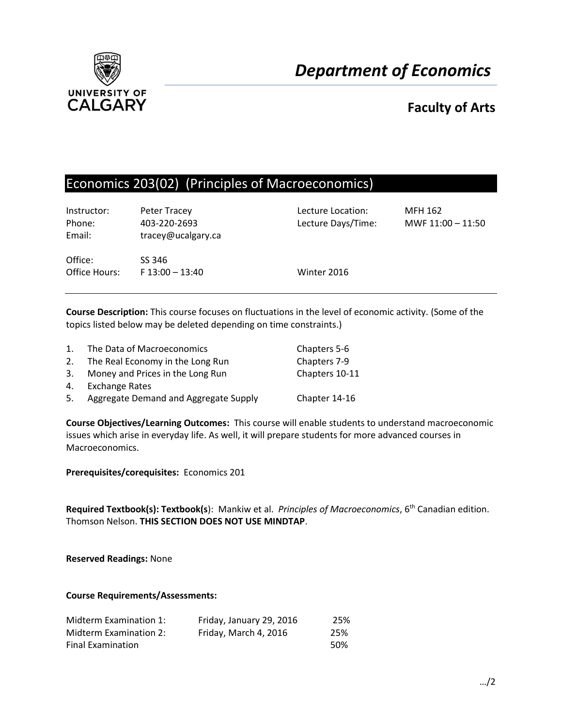

# **Faculty of Arts**

# Economics 203(02) (Principles of Macroeconomics)

| Instructor:<br>Phone:<br>Email: | Peter Tracey<br>403-220-2693<br>tracey@ucalgary.ca | Lecture Location:<br>Lecture Days/Time: | <b>MFH 162</b><br>MWF 11:00 - 11:50 |
|---------------------------------|----------------------------------------------------|-----------------------------------------|-------------------------------------|
| Office:<br>Office Hours:        | SS 346<br>$F$ 13:00 - 13:40                        | Winter 2016                             |                                     |

**Course Description:** This course focuses on fluctuations in the level of economic activity. (Some of the topics listed below may be deleted depending on time constraints.)

| $1_{-}$ | The Data of Macroeconomics            | Chapters 5-6   |
|---------|---------------------------------------|----------------|
| 2.      | The Real Economy in the Long Run      | Chapters 7-9   |
| 3.      | Money and Prices in the Long Run      | Chapters 10-11 |
| 4.      | <b>Exchange Rates</b>                 |                |
| 5.      | Aggregate Demand and Aggregate Supply | Chapter 14-16  |

**Course Objectives/Learning Outcomes:** This course will enable students to understand macroeconomic issues which arise in everyday life. As well, it will prepare students for more advanced courses in Macroeconomics.

**Prerequisites/corequisites:** Economics 201

**Required Textbook(s): Textbook(s**): Mankiw et al. *Principles of Macroeconomics*, 6th Canadian edition. Thomson Nelson. **THIS SECTION DOES NOT USE MINDTAP**.

**Reserved Readings:** None

## **Course Requirements/Assessments:**

| Midterm Examination 1:   | Friday, January 29, 2016 | 25%  |
|--------------------------|--------------------------|------|
| Midterm Examination 2:   | Friday, March 4, 2016    | 25%  |
| <b>Final Examination</b> |                          | .50% |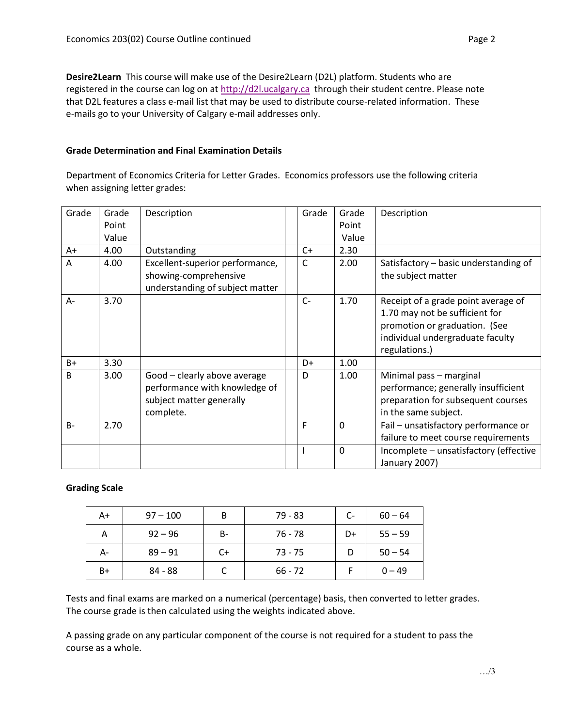**Desire2Learn** This course will make use of the Desire2Learn (D2L) platform. Students who are registered in the course can log on at [http://d2l.ucalgary.ca](http://d2l.ucalgary.ca/) through their student centre. Please note that D2L features a class e-mail list that may be used to distribute course-related information. These e-mails go to your University of Calgary e-mail addresses only.

## **Grade Determination and Final Examination Details**

Department of Economics Criteria for Letter Grades. Economics professors use the following criteria when assigning letter grades:

| Grade        | Grade<br>Point | Description                                                                                            | Grade | Grade<br>Point | Description                                                                                                                                                 |
|--------------|----------------|--------------------------------------------------------------------------------------------------------|-------|----------------|-------------------------------------------------------------------------------------------------------------------------------------------------------------|
|              | Value          |                                                                                                        |       | Value          |                                                                                                                                                             |
| A+           | 4.00           | Outstanding                                                                                            | $C+$  | 2.30           |                                                                                                                                                             |
| A            | 4.00           | Excellent-superior performance,<br>showing-comprehensive<br>understanding of subject matter            | C     | 2.00           | Satisfactory - basic understanding of<br>the subject matter                                                                                                 |
| A-           | 3.70           |                                                                                                        | $C -$ | 1.70           | Receipt of a grade point average of<br>1.70 may not be sufficient for<br>promotion or graduation. (See<br>individual undergraduate faculty<br>regulations.) |
| $B+$         | 3.30           |                                                                                                        | D+    | 1.00           |                                                                                                                                                             |
| <sub>B</sub> | 3.00           | Good - clearly above average<br>performance with knowledge of<br>subject matter generally<br>complete. | D     | 1.00           | Minimal pass - marginal<br>performance; generally insufficient<br>preparation for subsequent courses<br>in the same subject.                                |
| $B -$        | 2.70           |                                                                                                        | F     | $\mathbf{0}$   | Fail - unsatisfactory performance or<br>failure to meet course requirements                                                                                 |
|              |                |                                                                                                        |       | $\mathbf{0}$   | Incomplete - unsatisfactory (effective<br>January 2007)                                                                                                     |

## **Grading Scale**

| A+ | $97 - 100$ | B  | 79 - 83   | $C-$ | $60 - 64$ |
|----|------------|----|-----------|------|-----------|
| А  | $92 - 96$  | В- | 76 - 78   | D+   | $55 - 59$ |
| А- | $89 - 91$  | C+ | $73 - 75$ |      | $50 - 54$ |
| B+ | 84 - 88    |    | $66 - 72$ |      | $0 - 49$  |

Tests and final exams are marked on a numerical (percentage) basis, then converted to letter grades. The course grade is then calculated using the weights indicated above.

A passing grade on any particular component of the course is not required for a student to pass the course as a whole.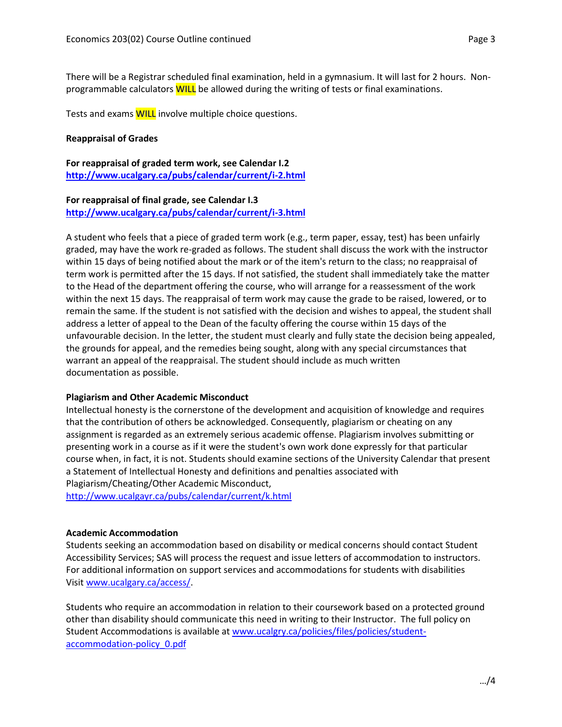There will be a Registrar scheduled final examination, held in a gymnasium. It will last for 2 hours. Nonprogrammable calculators **WILL** be allowed during the writing of tests or final examinations.

Tests and exams **WILL** involve multiple choice questions.

### **Reappraisal of Grades**

**For reappraisal of graded term work, see Calendar I.2 <http://www.ucalgary.ca/pubs/calendar/current/i-2.html>**

#### **For reappraisal of final grade, see Calendar I.3 <http://www.ucalgary.ca/pubs/calendar/current/i-3.html>**

A student who feels that a piece of graded term work (e.g., term paper, essay, test) has been unfairly graded, may have the work re-graded as follows. The student shall discuss the work with the instructor within 15 days of being notified about the mark or of the item's return to the class; no reappraisal of term work is permitted after the 15 days. If not satisfied, the student shall immediately take the matter to the Head of the department offering the course, who will arrange for a reassessment of the work within the next 15 days. The reappraisal of term work may cause the grade to be raised, lowered, or to remain the same. If the student is not satisfied with the decision and wishes to appeal, the student shall address a letter of appeal to the Dean of the faculty offering the course within 15 days of the unfavourable decision. In the letter, the student must clearly and fully state the decision being appealed, the grounds for appeal, and the remedies being sought, along with any special circumstances that warrant an appeal of the reappraisal. The student should include as much written documentation as possible.

## **Plagiarism and Other Academic Misconduct**

Intellectual honesty is the cornerstone of the development and acquisition of knowledge and requires that the contribution of others be acknowledged. Consequently, plagiarism or cheating on any assignment is regarded as an extremely serious academic offense. Plagiarism involves submitting or presenting work in a course as if it were the student's own work done expressly for that particular course when, in fact, it is not. Students should examine sections of the University Calendar that present a Statement of Intellectual Honesty and definitions and penalties associated with Plagiarism/Cheating/Other Academic Misconduct,

<http://www.ucalgayr.ca/pubs/calendar/current/k.html>

#### **Academic Accommodation**

Students seeking an accommodation based on disability or medical concerns should contact Student Accessibility Services; SAS will process the request and issue letters of accommodation to instructors. For additional information on support services and accommodations for students with disabilities Visit [www.ucalgary.ca/access/.](http://www.ucalgary.ca/access/)

Students who require an accommodation in relation to their coursework based on a protected ground other than disability should communicate this need in writing to their Instructor. The full policy on Student Accommodations is available at [www.ucalgry.ca/policies/files/policies/student](http://www.ucalgry.ca/policies/files/policies/student-accommodation-policy_0.pdf)[accommodation-policy\\_0.pdf](http://www.ucalgry.ca/policies/files/policies/student-accommodation-policy_0.pdf)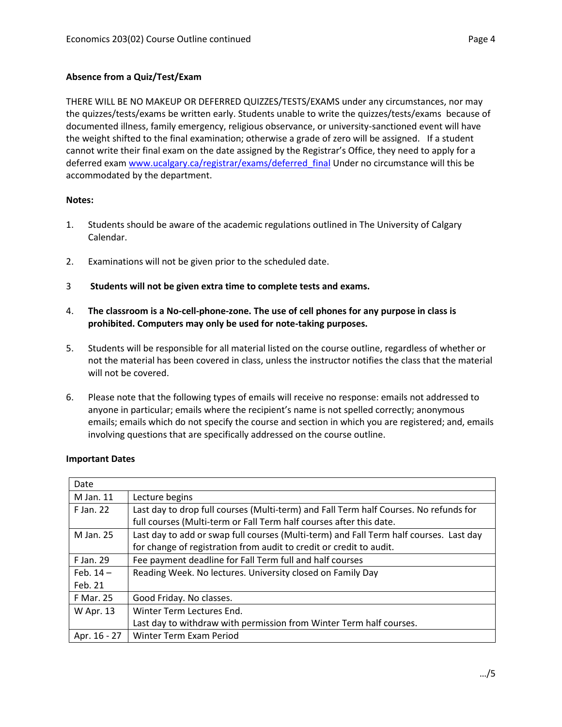# **Absence from a Quiz/Test/Exam**

THERE WILL BE NO MAKEUP OR DEFERRED QUIZZES/TESTS/EXAMS under any circumstances, nor may the quizzes/tests/exams be written early. Students unable to write the quizzes/tests/exams because of documented illness, family emergency, religious observance, or university-sanctioned event will have the weight shifted to the final examination; otherwise a grade of zero will be assigned. If a student cannot write their final exam on the date assigned by the Registrar's Office, they need to apply for a deferred exam [www.ucalgary.ca/registrar/exams/deferred\\_final](http://www.ucalgary.ca/registrar/exams/deferred_final) Under no circumstance will this be accommodated by the department.

## **Notes:**

- 1. Students should be aware of the academic regulations outlined in The University of Calgary Calendar.
- 2. Examinations will not be given prior to the scheduled date.
- 3 **Students will not be given extra time to complete tests and exams.**
- 4. **The classroom is a No-cell-phone-zone. The use of cell phones for any purpose in class is prohibited. Computers may only be used for note-taking purposes.**
- 5. Students will be responsible for all material listed on the course outline, regardless of whether or not the material has been covered in class, unless the instructor notifies the class that the material will not be covered.
- 6. Please note that the following types of emails will receive no response: emails not addressed to anyone in particular; emails where the recipient's name is not spelled correctly; anonymous emails; emails which do not specify the course and section in which you are registered; and, emails involving questions that are specifically addressed on the course outline.

| Date             |                                                                                        |  |
|------------------|----------------------------------------------------------------------------------------|--|
| M Jan. 11        | Lecture begins                                                                         |  |
| F Jan. 22        | Last day to drop full courses (Multi-term) and Fall Term half Courses. No refunds for  |  |
|                  | full courses (Multi-term or Fall Term half courses after this date.                    |  |
| M Jan. 25        | Last day to add or swap full courses (Multi-term) and Fall Term half courses. Last day |  |
|                  | for change of registration from audit to credit or credit to audit.                    |  |
| F Jan. 29        | Fee payment deadline for Fall Term full and half courses                               |  |
| Feb. $14-$       | Reading Week. No lectures. University closed on Family Day                             |  |
| Feb. 21          |                                                                                        |  |
| <b>F Mar. 25</b> | Good Friday. No classes.                                                               |  |
| W Apr. 13        | Winter Term Lectures End.                                                              |  |
|                  | Last day to withdraw with permission from Winter Term half courses.                    |  |
| Apr. 16 - 27     | Winter Term Exam Period                                                                |  |

## **Important Dates**